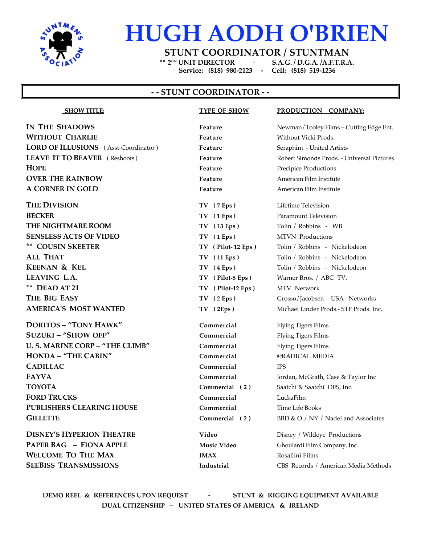

## **HUGH AODH O'BRIEN**

**STUNT COORDINATOR / STUNTMAN**

**\*\* 2nd UNIT DIRECTOR** - **S.A.G. / D.G.A. /A.F.T.R.A. Service: (818) 980-2123 - Cell: (818) 519-1236**

### **- - STUNT COORDINATOR - -**

**IN THE SHADOWS Feature Feature Newman/Tooley Films – Cutting Edge Ent. WITHOUT CHARLIE Feature** Without Vicki Prods. **LORD OF ILLUSIONS** (Asst-Coordinator ) **Feature** Seraphim - United Artists **LEAVE IT TO BEAVER** ( Reshoots ) **Feature** Robert Simonds Prods. - Universal Pictures **HOPE Feature** Precipice Productions **Feature** Precipice Productions **OVER THE RAINBOW Feature Feature** American Film Institute **A CORNER IN GOLD Feature Property American Film Institute** 

**THE DIVISION TV** (7 Eps ) Lifetime Television **BECKER TV** (1 Eps ) Paramount Television **THE NIGHTMARE ROOM TV** (13 Eps) Tolin / Robbins - WB **SENSLESS ACTS OF VIDEO TV ( 1 Eps )** MTVN Productions **\*\* COUSIN SKEETER TV ( Pilot- 12 Eps )** Tolin / Robbins - Nickelodeon **ALL THAT TV ( 11 Eps )** Tolin / Robbins - Nickelodeon **KEENAN & KEL TV** (4 Eps ) Tolin / Robbins - Nickelodeon **LEAVING L.A. TV ( Pilot-5 Eps )** Warner Bros. / ABC TV. **\*\* DEAD AT 21 TV ( Pilot-12 Eps )** MTV Network **THE BIG EASY TV ( 2 Eps )** Grosso/Jacobsen - USA Networks **AMERICA'S MOST WANTED TV ( 2Eps )** Michael Linder Prods.- STF Prods. Inc.

**DORITOS – "TONY HAWK" Commercial** Flying Tigers Films **SUZUKI – "SHOW OFF" Commercial** Flying Tigers Films **U. S. MARINE CORP – "THE CLIMB" Commercial** Flying Tigers Films **HONDA – "THE CABIN" Commercial** @RADICAL MEDIA **CADILLAC Commercial** IPS **FAYVA Commercial** Jordan, McGrath, Case & Taylor Inc **TOYOTA Commercial (2)** Saatchi & Saatchi DFS, Inc. **FORD TRUCKS Commercial** LuckaFilm **PUBLISHERS CLEARING HOUSE Commercial** Time Life Books **GILLETTE Commercial (2)** BBD & O / NY / Nadel and Associates

**DISNEY'S HYPERION THEATRE Video** Disney / Wildeye Productions **PAPER BAG – FIONA APPLE Music Video** Ghoulardi Film Company, Inc. **WELCOME TO THE MAX IMAX IMAX** Rosallini Films

# **SHOW TITLE: TYPE OF SHOW PRODUCTION COMPANY:**

**SEEBISS TRANSMISSIONS Industrial** CBS Records / American Media Methods

**DEMO REEL & REFERENCES UPON REQUEST - STUNT & RIGGING EQUIPMENT AVAILABLE DUAL CITIZENSHIP – UNITED STATES OF AMERICA & IRELAND**